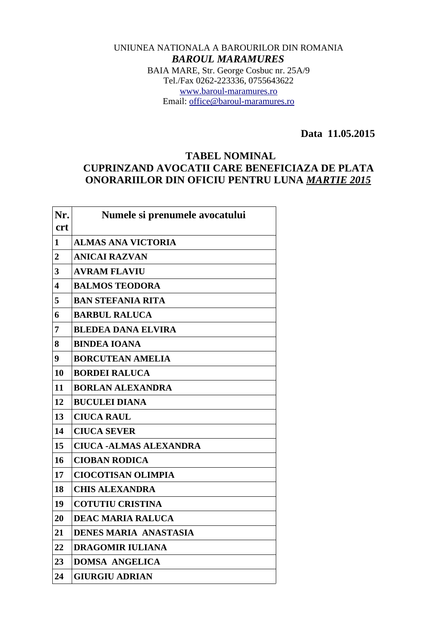## UNIUNEA NATIONALA A BAROURILOR DIN ROMANIA *BAROUL MARAMURES* BAIA MARE, Str. George Cosbuc nr. 25A/9 Tel./Fax 0262-223336, 0755643622 [www.baroul-maramures.ro](http://www.baroul-maramures.ro/) Email: [office@baroul-maramures.ro](mailto:office@baroul-maramures.ro)

 **Data 11.05.2015** 

## **TABEL NOMINAL CUPRINZAND AVOCATII CARE BENEFICIAZA DE PLATA ONORARIILOR DIN OFICIU PENTRU LUNA** *MARTIE 2015*

| Nr.<br><b>crt</b> | Numele si prenumele avocatului |
|-------------------|--------------------------------|
| 1                 | <b>ALMAS ANA VICTORIA</b>      |
| $\overline{2}$    | <b>ANICAI RAZVAN</b>           |
| 3                 | <b>AVRAM FLAVIU</b>            |
| 4                 | <b>BALMOS TEODORA</b>          |
| 5                 | <b>BAN STEFANIA RITA</b>       |
| 6                 | <b>BARBUL RALUCA</b>           |
| 7                 | <b>BLEDEA DANA ELVIRA</b>      |
| 8                 | <b>BINDEA IOANA</b>            |
| 9                 | <b>BORCUTEAN AMELIA</b>        |
| 10                | <b>BORDEI RALUCA</b>           |
| 11                | <b>BORLAN ALEXANDRA</b>        |
| 12                | <b>BUCULEI DIANA</b>           |
| 13                | <b>CIUCA RAUL</b>              |
| 14                | <b>CIUCA SEVER</b>             |
| 15                | <b>CIUCA -ALMAS ALEXANDRA</b>  |
| 16                | <b>CIOBAN RODICA</b>           |
| 17                | <b>CIOCOTISAN OLIMPIA</b>      |
| 18                | <b>CHIS ALEXANDRA</b>          |
| 19                | <b>COTUTIU CRISTINA</b>        |
| 20                | <b>DEAC MARIA RALUCA</b>       |
| 21                | <b>DENES MARIA ANASTASIA</b>   |
| 22                | <b>DRAGOMIR IULIANA</b>        |
| 23                | <b>DOMSA ANGELICA</b>          |
| 24                | <b>GIURGIU ADRIAN</b>          |